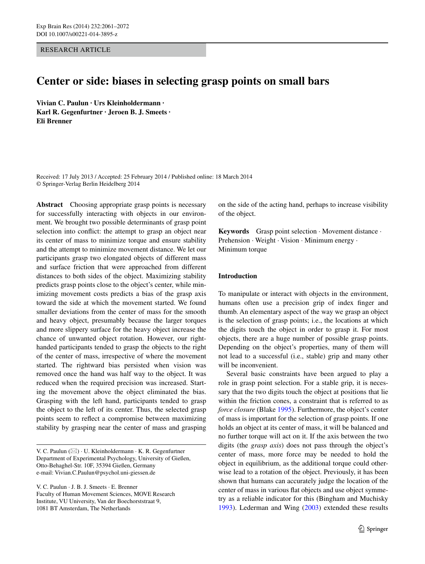Research Article

# **Center or side: biases in selecting grasp points on small bars**

**Vivian C. Paulun · Urs Kleinholdermann · Karl R. Gegenfurtner · Jeroen B. J. Smeets · Eli Brenner**

Received: 17 July 2013 / Accepted: 25 February 2014 / Published online: 18 March 2014 © Springer-Verlag Berlin Heidelberg 2014

**Abstract** Choosing appropriate grasp points is necessary for successfully interacting with objects in our environment. We brought two possible determinants of grasp point selection into conflict: the attempt to grasp an object near its center of mass to minimize torque and ensure stability and the attempt to minimize movement distance. We let our participants grasp two elongated objects of different mass and surface friction that were approached from different distances to both sides of the object. Maximizing stability predicts grasp points close to the object's center, while minimizing movement costs predicts a bias of the grasp axis toward the side at which the movement started. We found smaller deviations from the center of mass for the smooth and heavy object, presumably because the larger torques and more slippery surface for the heavy object increase the chance of unwanted object rotation. However, our righthanded participants tended to grasp the objects to the right of the center of mass, irrespective of where the movement started. The rightward bias persisted when vision was removed once the hand was half way to the object. It was reduced when the required precision was increased. Starting the movement above the object eliminated the bias. Grasping with the left hand, participants tended to grasp the object to the left of its center. Thus, the selected grasp points seem to reflect a compromise between maximizing stability by grasping near the center of mass and grasping

V. C. Paulun · J. B. J. Smeets · E. Brenner Faculty of Human Movement Sciences, MOVE Research Institute, VU University, Van der Boechorststraat 9, 1081 BT Amsterdam, The Netherlands

on the side of the acting hand, perhaps to increase visibility of the object.

**Keywords** Grasp point selection · Movement distance · Prehension · Weight · Vision · Minimum energy · Minimum torque

## **Introduction**

To manipulate or interact with objects in the environment, humans often use a precision grip of index finger and thumb. An elementary aspect of the way we grasp an object is the selection of grasp points; i.e., the locations at which the digits touch the object in order to grasp it. For most objects, there are a huge number of possible grasp points. Depending on the object's properties, many of them will not lead to a successful (i.e., stable) grip and many other will be inconvenient.

Several basic constraints have been argued to play a role in grasp point selection. For a stable grip, it is necessary that the two digits touch the object at positions that lie within the friction cones, a constraint that is referred to as *force closure* (Blake [1995\)](#page-11-0). Furthermore, the object's center of mass is important for the selection of grasp points. If one holds an object at its center of mass, it will be balanced and no further torque will act on it. If the axis between the two digits (the *grasp axis*) does not pass through the object's center of mass, more force may be needed to hold the object in equilibrium, as the additional torque could otherwise lead to a rotation of the object. Previously, it has been shown that humans can accurately judge the location of the center of mass in various flat objects and use object symmetry as a reliable indicator for this (Bingham and Muchisky [1993](#page-11-1)). Lederman and Wing ([2003\)](#page-11-2) extended these results

V. C. Paulun ( $\boxtimes$ ) · U. Kleinholdermann · K. R. Gegenfurtner Department of Experimental Psychology, University of Gießen, Otto-Behaghel‑Str. 10F, 35394 Gießen, Germany e-mail: Vivian.C.Paulun@psychol.uni-giessen.de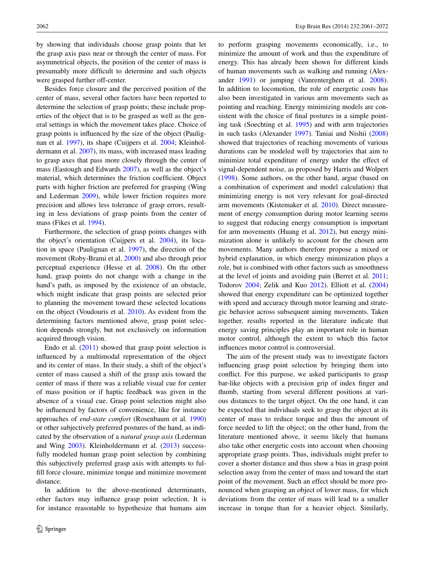by showing that individuals choose grasp points that let the grasp axis pass near or through the center of mass. For asymmetrical objects, the position of the center of mass is presumably more difficult to determine and such objects were grasped further off-center.

Besides force closure and the perceived position of the center of mass, several other factors have been reported to determine the selection of grasp points; these include properties of the object that is to be grasped as well as the general settings in which the movement takes place. Choice of grasp points is influenced by the size of the object (Paulignan et al. [1997](#page-11-3)), its shape (Cuijpers et al. [2004;](#page-11-4) Kleinholdermann et al. [2007\)](#page-11-5), its mass, with increased mass leading to grasp axes that pass more closely through the center of mass (Eastough and Edwards [2007](#page-11-6)), as well as the object's material, which determines the friction coefficient. Object parts with higher friction are preferred for grasping (Wing and Lederman [2009\)](#page-11-7), while lower friction requires more precision and allows less tolerance of grasp errors, resulting in less deviations of grasp points from the center of mass (Fikes et al. [1994\)](#page-11-8).

Furthermore, the selection of grasp points changes with the object's orientation (Cuijpers et al. [2004](#page-11-4)), its location in space (Paulignan et al. [1997\)](#page-11-3), the direction of the movement (Roby-Brami et al. [2000\)](#page-11-9) and also through prior perceptual experience (Hesse et al. [2008\)](#page-11-10). On the other hand, grasp points do not change with a change in the hand's path, as imposed by the existence of an obstacle, which might indicate that grasp points are selected prior to planning the movement toward these selected locations on the object (Voudouris et al. [2010\)](#page-11-11). As evident from the determining factors mentioned above, grasp point selection depends strongly, but not exclusively on information acquired through vision.

Endo et al. ([2011\)](#page-11-12) showed that grasp point selection is influenced by a multimodal representation of the object and its center of mass. In their study, a shift of the object's center of mass caused a shift of the grasp axis toward the center of mass if there was a reliable visual cue for center of mass position or if haptic feedback was given in the absence of a visual cue. Grasp point selection might also be influenced by factors of convenience, like for instance approaches of *end*-*state comfort* (Rosenbaum et al. [1990\)](#page-11-13) or other subjectively preferred postures of the hand, as indicated by the observation of a *natural grasp axis* (Lederman and Wing [2003](#page-11-2)). Kleinholdermann et al. [\(2013](#page-11-14)) successfully modeled human grasp point selection by combining this subjectively preferred grasp axis with attempts to fulfill force closure, minimize torque and minimize movement distance.

In addition to the above-mentioned determinants, other factors may influence grasp point selection. It is for instance reasonable to hypothesize that humans aim to perform grasping movements economically, i.e., to minimize the amount of work and thus the expenditure of energy. This has already been shown for different kinds of human movements such as walking and running (Alexander [1991\)](#page-11-15) or jumping (Vanrenterghem et al. [2008](#page-11-16)). In addition to locomotion, the role of energetic costs has also been investigated in various arm movements such as pointing and reaching. Energy minimizing models are consistent with the choice of final postures in a simple pointing task (Soechting et al. [1995\)](#page-11-17) and with arm trajectories in such tasks (Alexander [1997\)](#page-11-18). Taniai and Nishii ([2008\)](#page-11-19) showed that trajectories of reaching movements of various durations can be modeled well by trajectories that aim to minimize total expenditure of energy under the effect of signal-dependent noise, as proposed by Harris and Wolpert [\(1998](#page-11-20)). Some authors, on the other hand, argue (based on a combination of experiment and model calculation) that minimizing energy is not very relevant for goal-directed arm movements (Kistemaker et al. [2010](#page-11-21)). Direct measurement of energy consumption during motor learning seems to suggest that reducing energy consumption is important for arm movements (Huang et al. [2012\)](#page-11-22), but energy minimization alone is unlikely to account for the chosen arm movements. Many authors therefore propose a mixed or hybrid explanation, in which energy minimization plays a role, but is combined with other factors such as smoothness at the level of joints and avoiding pain (Berret et al. [2011](#page-11-23); Todorov [2004](#page-11-24); Zelik and Kuo [2012](#page-11-25)). Elliott et al. ([2004\)](#page-11-26) showed that energy expenditure can be optimized together with speed and accuracy through motor learning and strategic behavior across subsequent aiming movements. Taken together, results reported in the literature indicate that energy saving principles play an important role in human motor control, although the extent to which this factor influences motor control is controversial.

The aim of the present study was to investigate factors influencing grasp point selection by bringing them into conflict. For this purpose, we asked participants to grasp bar-like objects with a precision grip of index finger and thumb, starting from several different positions at various distances to the target object. On the one hand, it can be expected that individuals seek to grasp the object at its center of mass to reduce torque and thus the amount of force needed to lift the object; on the other hand, from the literature mentioned above, it seems likely that humans also take other energetic costs into account when choosing appropriate grasp points. Thus, individuals might prefer to cover a shorter distance and thus show a bias in grasp point selection away from the center of mass and toward the start point of the movement. Such an effect should be more pronounced when grasping an object of lower mass, for which deviations from the center of mass will lead to a smaller increase in torque than for a heavier object. Similarly,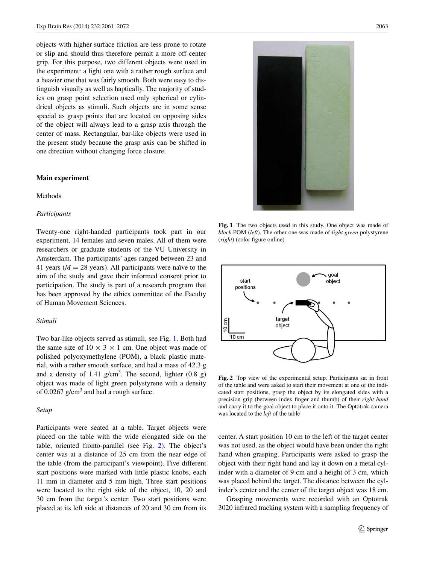objects with higher surface friction are less prone to rotate or slip and should thus therefore permit a more off-center grip. For this purpose, two different objects were used in the experiment: a light one with a rather rough surface and a heavier one that was fairly smooth. Both were easy to distinguish visually as well as haptically. The majority of studies on grasp point selection used only spherical or cylindrical objects as stimuli. Such objects are in some sense special as grasp points that are located on opposing sides of the object will always lead to a grasp axis through the center of mass. Rectangular, bar-like objects were used in the present study because the grasp axis can be shifted in one direction without changing force closure.

#### **Main experiment**

## Methods

#### *Participants*

Twenty-one right-handed participants took part in our experiment, 14 females and seven males. All of them were researchers or graduate students of the VU University in Amsterdam. The participants' ages ranged between 23 and 41 years ( $M = 28$  years). All participants were naïve to the aim of the study and gave their informed consent prior to participation. The study is part of a research program that has been approved by the ethics committee of the Faculty of Human Movement Sciences.

#### *Stimuli*

Two bar-like objects served as stimuli, see Fig. [1](#page-2-0). Both had the same size of  $10 \times 3 \times 1$  cm. One object was made of polished polyoxymethylene (POM), a black plastic material, with a rather smooth surface, and had a mass of 42.3 g and a density of  $1.41$  g/cm<sup>3</sup>. The second, lighter  $(0.8 \text{ g})$ object was made of light green polystyrene with a density of  $0.0267$  g/cm<sup>3</sup> and had a rough surface.

#### *Setup*

Participants were seated at a table. Target objects were placed on the table with the wide elongated side on the table, oriented fronto-parallel (see Fig. [2](#page-2-1)). The object's center was at a distance of 25 cm from the near edge of the table (from the participant's viewpoint). Five different start positions were marked with little plastic knobs, each 11 mm in diameter and 5 mm high. Three start positions were located to the right side of the object, 10, 20 and 30 cm from the target's center. Two start positions were placed at its left side at distances of 20 and 30 cm from its



**Fig. 1** The two objects used in this study. One object was made of *black* POM (*left*). The other one was made of *light green* polystyrene (*right*) (color figure online)

<span id="page-2-0"></span>

<span id="page-2-1"></span>**Fig. 2** Top view of the experimental setup. Participants sat in front of the table and were asked to start their movement at one of the indicated start positions, grasp the object by its elongated sides with a precision grip (between index finger and thumb) of their *right hand* and carry it to the goal object to place it onto it. The Optotrak camera was located to the *left* of the table

center. A start position 10 cm to the left of the target center was not used, as the object would have been under the right hand when grasping. Participants were asked to grasp the object with their right hand and lay it down on a metal cylinder with a diameter of 9 cm and a height of 3 cm, which was placed behind the target. The distance between the cylinder's center and the center of the target object was 18 cm.

Grasping movements were recorded with an Optotrak 3020 infrared tracking system with a sampling frequency of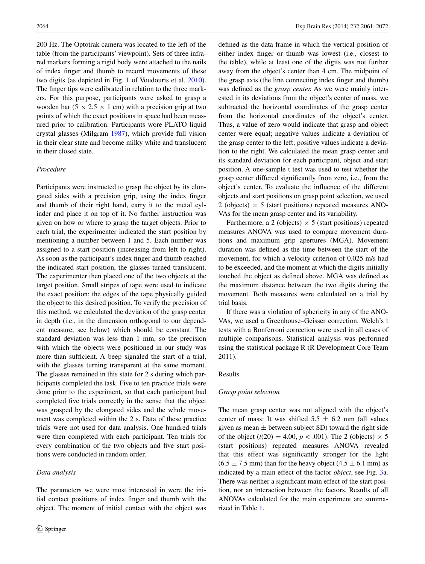200 Hz. The Optotrak camera was located to the left of the table (from the participants' viewpoint). Sets of three infrared markers forming a rigid body were attached to the nails of index finger and thumb to record movements of these two digits (as depicted in Fig. 1 of Voudouris et al. [2010](#page-11-11)). The finger tips were calibrated in relation to the three markers. For this purpose, participants were asked to grasp a wooden bar  $(5 \times 2.5 \times 1$  cm) with a precision grip at two points of which the exact positions in space had been measured prior to calibration. Participants wore PLATO liquid crystal glasses (Milgram [1987](#page-11-27)), which provide full vision in their clear state and become milky white and translucent in their closed state.

## *Procedure*

Participants were instructed to grasp the object by its elongated sides with a precision grip, using the index finger and thumb of their right hand, carry it to the metal cylinder and place it on top of it. No further instruction was given on how or where to grasp the target objects. Prior to each trial, the experimenter indicated the start position by mentioning a number between 1 and 5. Each number was assigned to a start position (increasing from left to right). As soon as the participant's index finger and thumb reached the indicated start position, the glasses turned translucent. The experimenter then placed one of the two objects at the target position. Small stripes of tape were used to indicate the exact position; the edges of the tape physically guided the object to this desired position. To verify the precision of this method, we calculated the deviation of the grasp center in depth (i.e., in the dimension orthogonal to our dependent measure, see below) which should be constant. The standard deviation was less than 1 mm, so the precision with which the objects were positioned in our study was more than sufficient. A beep signaled the start of a trial, with the glasses turning transparent at the same moment. The glasses remained in this state for 2 s during which participants completed the task. Five to ten practice trials were done prior to the experiment, so that each participant had completed five trials correctly in the sense that the object was grasped by the elongated sides and the whole movement was completed within the 2 s. Data of these practice trials were not used for data analysis. One hundred trials were then completed with each participant. Ten trials for every combination of the two objects and five start positions were conducted in random order.

## *Data analysis*

The parameters we were most interested in were the initial contact positions of index finger and thumb with the object. The moment of initial contact with the object was defined as the data frame in which the vertical position of either index finger or thumb was lowest (i.e., closest to the table), while at least one of the digits was not further away from the object's center than 4 cm. The midpoint of the grasp axis (the line connecting index finger and thumb) was defined as the *grasp center.* As we were mainly interested in its deviations from the object's center of mass, we subtracted the horizontal coordinates of the grasp center from the horizontal coordinates of the object's center. Thus, a value of zero would indicate that grasp and object center were equal; negative values indicate a deviation of the grasp center to the left; positive values indicate a deviation to the right. We calculated the mean grasp center and its standard deviation for each participant, object and start position. A one-sample t test was used to test whether the grasp center differed significantly from zero, i.e., from the object's center. To evaluate the influence of the different objects and start positions on grasp point selection, we used 2 (objects)  $\times$  5 (start positions) repeated measures ANO-VAs for the mean grasp center and its variability.

Furthermore, a 2 (objects)  $\times$  5 (start positions) repeated measures ANOVA was used to compare movement durations and maximum grip apertures (MGA). Movement duration was defined as the time between the start of the movement, for which a velocity criterion of 0.025 m/s had to be exceeded, and the moment at which the digits initially touched the object as defined above. MGA was defined as the maximum distance between the two digits during the movement. Both measures were calculated on a trial by trial basis.

If there was a violation of sphericity in any of the ANO-VAs, we used a Greenhouse–Geisser correction. Welch's t tests with a Bonferroni correction were used in all cases of multiple comparisons. Statistical analysis was performed using the statistical package R (R Development Core Team 2011).

## Results

#### *Grasp point selection*

The mean grasp center was not aligned with the object's center of mass: It was shifted  $5.5 \pm 6.2$  mm (all values given as mean  $\pm$  between subject SD) toward the right side of the object  $(t(20) = 4.00, p < .001)$ . The 2 (objects)  $\times$  5 (start positions) repeated measures ANOVA revealed that this effect was significantly stronger for the light  $(6.5 \pm 7.5 \text{ mm})$  than for the heavy object  $(4.5 \pm 6.1 \text{ mm})$  as indicated by a main effect of the factor *object*, see Fig. [3](#page-4-0)a. There was neither a significant main effect of the start position, nor an interaction between the factors. Results of all ANOVAs calculated for the main experiment are summarized in Table [1](#page-4-1).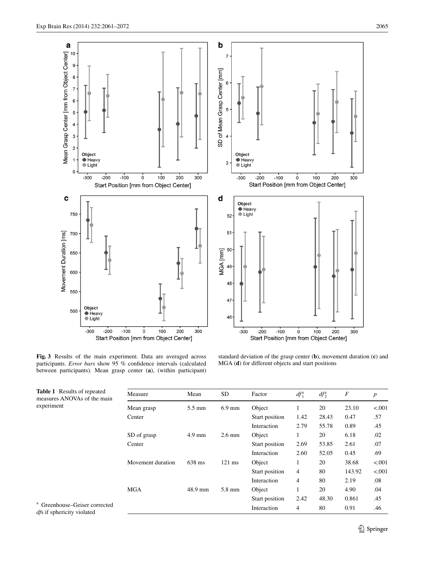

<span id="page-4-0"></span>**Fig. 3** Results of the main experiment. Data are averaged across participants. *Error bars* show 95 % confidence intervals (calculated between participants). Mean grasp center (**a**), (within participant)

standard deviation of the grasp center (**b**), movement duration (**c**) and MGA (**d**) for different objects and start positions

<span id="page-4-1"></span>

| <b>Table 1</b> Results of repeated<br>measures ANOVAs of the main<br>experiment | Measure           | Mean             | SD               | Factor         | $df_1^a$       | $df_2^a$ | $\boldsymbol{F}$ | $\boldsymbol{p}$ |
|---------------------------------------------------------------------------------|-------------------|------------------|------------------|----------------|----------------|----------|------------------|------------------|
|                                                                                 | Mean grasp        | $5.5 \text{ mm}$ | $6.9$ mm         | Object         |                | 20       | 23.10            | < .001           |
|                                                                                 | Center            |                  |                  | Start position | 1.42           | 28.43    | 0.47             | .57              |
|                                                                                 |                   |                  |                  | Interaction    | 2.79           | 55.78    | 0.89             | .45              |
|                                                                                 | SD of grasp       | $4.9 \text{ mm}$ | $2.6 \text{ mm}$ | Object         |                | 20       | 6.18             | .02              |
|                                                                                 | Center            |                  |                  | Start position | 2.69           | 53.85    | 2.61             | .07              |
|                                                                                 |                   |                  |                  | Interaction    | 2.60           | 52.05    | 0.45             | .69              |
|                                                                                 | Movement duration | 638 ms           | $121$ ms         | Object         |                | 20       | 38.68            | < 0.001          |
|                                                                                 |                   |                  |                  | Start position | 4              | 80       | 143.92           | < .001           |
|                                                                                 |                   |                  |                  | Interaction    | $\overline{4}$ | 80       | 2.19             | .08              |
|                                                                                 | <b>MGA</b>        | 48.9 mm          | 5.8 mm           | Object         |                | 20       | 4.90             | .04              |
|                                                                                 |                   |                  |                  | Start position | 2.42           | 48.30    | 0.861            | .45              |
| <sup>a</sup> Greenhouse–Geiser corrected<br><i>dfs</i> if sphericity violated   |                   |                  |                  | Interaction    | 4              | 80       | 0.91             | .46              |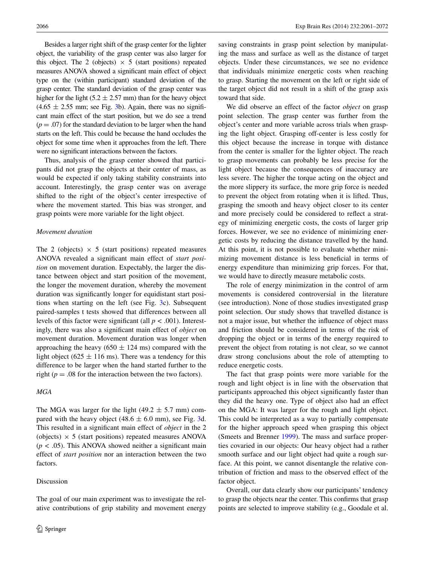Besides a larger right shift of the grasp center for the lighter object, the variability of the grasp center was also larger for this object. The 2 (objects)  $\times$  5 (start positions) repeated measures ANOVA showed a significant main effect of object type on the (within participant) standard deviation of the grasp center. The standard deviation of the grasp center was higher for the light  $(5.2 \pm 2.57 \text{ mm})$  than for the heavy object  $(4.65 \pm 2.55$  mm; see Fig. [3b](#page-4-0)). Again, there was no significant main effect of the start position, but we do see a trend  $(p = .07)$  for the standard deviation to be larger when the hand starts on the left. This could be because the hand occludes the object for some time when it approaches from the left. There were no significant interactions between the factors.

Thus, analysis of the grasp center showed that participants did not grasp the objects at their center of mass, as would be expected if only taking stability constraints into account. Interestingly, the grasp center was on average shifted to the right of the object's center irrespective of where the movement started. This bias was stronger, and grasp points were more variable for the light object.

#### *Movement duration*

The 2 (objects)  $\times$  5 (start positions) repeated measures ANOVA revealed a significant main effect of *start position* on movement duration. Expectably, the larger the distance between object and start position of the movement, the longer the movement duration, whereby the movement duration was significantly longer for equidistant start positions when starting on the left (see Fig. [3c](#page-4-0)). Subsequent paired-samples t tests showed that differences between all levels of this factor were significant (all  $p < .001$ ). Interestingly, there was also a significant main effect of *object* on movement duration. Movement duration was longer when approaching the heavy ( $650 \pm 124$  ms) compared with the light object (625  $\pm$  116 ms). There was a tendency for this difference to be larger when the hand started further to the right ( $p = .08$  for the interaction between the two factors).

## *MGA*

The MGA was larger for the light (49.2  $\pm$  5.7 mm) compared with the heavy object (48.6  $\pm$  6.0 mm), see Fig. [3d](#page-4-0). This resulted in a significant main effect of *object* in the 2 (objects)  $\times$  5 (start positions) repeated measures ANOVA (*p <* .05). This ANOVA showed neither a significant main effect of *start position* nor an interaction between the two factors.

# Discussion

The goal of our main experiment was to investigate the relative contributions of grip stability and movement energy

saving constraints in grasp point selection by manipulating the mass and surface as well as the distance of target objects. Under these circumstances, we see no evidence that individuals minimize energetic costs when reaching to grasp. Starting the movement on the left or right side of the target object did not result in a shift of the grasp axis toward that side.

We did observe an effect of the factor *object* on grasp point selection. The grasp center was further from the object's center and more variable across trials when grasping the light object. Grasping off-center is less costly for this object because the increase in torque with distance from the center is smaller for the lighter object. The reach to grasp movements can probably be less precise for the light object because the consequences of inaccuracy are less severe. The higher the torque acting on the object and the more slippery its surface, the more grip force is needed to prevent the object from rotating when it is lifted. Thus, grasping the smooth and heavy object closer to its center and more precisely could be considered to reflect a strategy of minimizing energetic costs, the costs of larger grip forces. However, we see no evidence of minimizing energetic costs by reducing the distance travelled by the hand. At this point, it is not possible to evaluate whether minimizing movement distance is less beneficial in terms of energy expenditure than minimizing grip forces. For that, we would have to directly measure metabolic costs.

The role of energy minimization in the control of arm movements is considered controversial in the literature (see introduction). None of those studies investigated grasp point selection. Our study shows that travelled distance is not a major issue, but whether the influence of object mass and friction should be considered in terms of the risk of dropping the object or in terms of the energy required to prevent the object from rotating is not clear, so we cannot draw strong conclusions about the role of attempting to reduce energetic costs.

The fact that grasp points were more variable for the rough and light object is in line with the observation that participants approached this object significantly faster than they did the heavy one. Type of object also had an effect on the MGA: It was larger for the rough and light object. This could be interpreted as a way to partially compensate for the higher approach speed when grasping this object (Smeets and Brenner [1999\)](#page-11-28). The mass and surface properties covaried in our objects: Our heavy object had a rather smooth surface and our light object had quite a rough surface. At this point, we cannot disentangle the relative contribution of friction and mass to the observed effect of the factor object.

Overall, our data clearly show our participants' tendency to grasp the objects near the center. This confirms that grasp points are selected to improve stability (e.g., Goodale et al.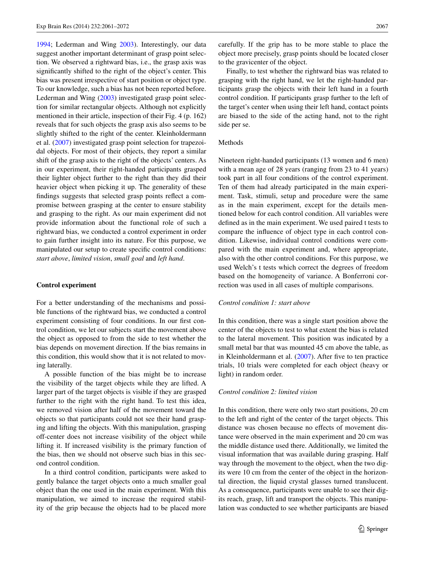[1994](#page-11-29); Lederman and Wing [2003\)](#page-11-2). Interestingly, our data suggest another important determinant of grasp point selection. We observed a rightward bias, i.e., the grasp axis was significantly shifted to the right of the object's center. This bias was present irrespective of start position or object type. To our knowledge, such a bias has not been reported before. Lederman and Wing [\(2003](#page-11-2)) investigated grasp point selection for similar rectangular objects. Although not explicitly mentioned in their article, inspection of their Fig. 4 (p. 162) reveals that for such objects the grasp axis also seems to be slightly shifted to the right of the center. Kleinholdermann et al. ([2007\)](#page-11-5) investigated grasp point selection for trapezoidal objects. For most of their objects, they report a similar shift of the grasp axis to the right of the objects' centers. As in our experiment, their right-handed participants grasped their lighter object further to the right than they did their heavier object when picking it up. The generality of these findings suggests that selected grasp points reflect a compromise between grasping at the center to ensure stability and grasping to the right. As our main experiment did not provide information about the functional role of such a rightward bias, we conducted a control experiment in order to gain further insight into its nature. For this purpose, we manipulated our setup to create specific control conditions: *start above*, *limited vision*, *small goal* and *left hand*.

#### **Control experiment**

For a better understanding of the mechanisms and possible functions of the rightward bias, we conducted a control experiment consisting of four conditions. In our first control condition, we let our subjects start the movement above the object as opposed to from the side to test whether the bias depends on movement direction. If the bias remains in this condition, this would show that it is not related to moving laterally.

A possible function of the bias might be to increase the visibility of the target objects while they are lifted. A larger part of the target objects is visible if they are grasped further to the right with the right hand. To test this idea, we removed vision after half of the movement toward the objects so that participants could not see their hand grasping and lifting the objects. With this manipulation, grasping off-center does not increase visibility of the object while lifting it. If increased visibility is the primary function of the bias, then we should not observe such bias in this second control condition.

In a third control condition, participants were asked to gently balance the target objects onto a much smaller goal object than the one used in the main experiment. With this manipulation, we aimed to increase the required stability of the grip because the objects had to be placed more carefully. If the grip has to be more stable to place the object more precisely, grasp points should be located closer to the gravicenter of the object.

Finally, to test whether the rightward bias was related to grasping with the right hand, we let the right-handed participants grasp the objects with their left hand in a fourth control condition. If participants grasp further to the left of the target's center when using their left hand, contact points are biased to the side of the acting hand, not to the right side per se.

#### Methods

Nineteen right-handed participants (13 women and 6 men) with a mean age of 28 years (ranging from 23 to 41 years) took part in all four conditions of the control experiment. Ten of them had already participated in the main experiment. Task, stimuli, setup and procedure were the same as in the main experiment, except for the details mentioned below for each control condition. All variables were defined as in the main experiment. We used paired t tests to compare the influence of object type in each control condition. Likewise, individual control conditions were compared with the main experiment and, where appropriate, also with the other control conditions. For this purpose, we used Welch's t tests which correct the degrees of freedom based on the homogeneity of variance. A Bonferroni correction was used in all cases of multiple comparisons.

## *Control condition 1: start above*

In this condition, there was a single start position above the center of the objects to test to what extent the bias is related to the lateral movement. This position was indicated by a small metal bar that was mounted 45 cm above the table, as in Kleinholdermann et al. [\(2007](#page-11-5)). After five to ten practice trials, 10 trials were completed for each object (heavy or light) in random order.

#### *Control condition 2: limited vision*

In this condition, there were only two start positions, 20 cm to the left and right of the center of the target objects. This distance was chosen because no effects of movement distance were observed in the main experiment and 20 cm was the middle distance used there. Additionally, we limited the visual information that was available during grasping. Half way through the movement to the object, when the two digits were 10 cm from the center of the object in the horizontal direction, the liquid crystal glasses turned translucent. As a consequence, participants were unable to see their digits reach, grasp, lift and transport the objects. This manipulation was conducted to see whether participants are biased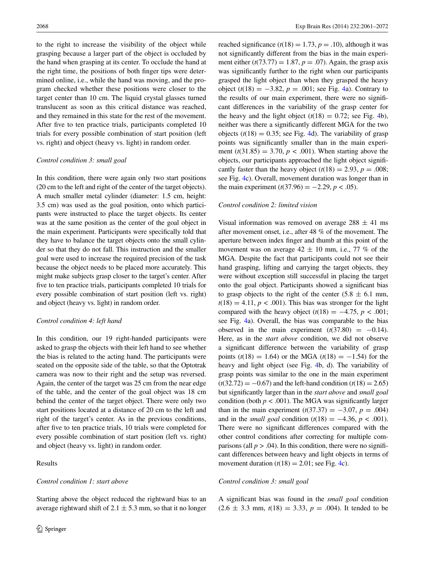to the right to increase the visibility of the object while grasping because a larger part of the object is occluded by the hand when grasping at its center. To occlude the hand at the right time, the positions of both finger tips were determined online, i.e., while the hand was moving, and the program checked whether these positions were closer to the target center than 10 cm. The liquid crystal glasses turned translucent as soon as this critical distance was reached, and they remained in this state for the rest of the movement. After five to ten practice trials, participants completed 10 trials for every possible combination of start position (left vs. right) and object (heavy vs. light) in random order.

## *Control condition 3: small goal*

In this condition, there were again only two start positions (20 cm to the left and right of the center of the target objects). A much smaller metal cylinder (diameter: 1.5 cm, height: 3.5 cm) was used as the goal position, onto which participants were instructed to place the target objects. Its center was at the same position as the center of the goal object in the main experiment. Participants were specifically told that they have to balance the target objects onto the small cylinder so that they do not fall. This instruction and the smaller goal were used to increase the required precision of the task because the object needs to be placed more accurately. This might make subjects grasp closer to the target's center. After five to ten practice trials, participants completed 10 trials for every possible combination of start position (left vs. right) and object (heavy vs. light) in random order.

#### *Control condition 4: left hand*

In this condition, our 19 right-handed participants were asked to grasp the objects with their left hand to see whether the bias is related to the acting hand. The participants were seated on the opposite side of the table, so that the Optotrak camera was now to their right and the setup was reversed. Again, the center of the target was 25 cm from the near edge of the table, and the center of the goal object was 18 cm behind the center of the target object. There were only two start positions located at a distance of 20 cm to the left and right of the target's center. As in the previous conditions, after five to ten practice trials, 10 trials were completed for every possible combination of start position (left vs. right) and object (heavy vs. light) in random order.

## Results

#### *Control condition 1: start above*

Starting above the object reduced the rightward bias to an average rightward shift of  $2.1 \pm 5.3$  mm, so that it no longer reached significance  $(t(18) = 1.73, p = .10)$ , although it was not significantly different from the bias in the main experiment either  $(t(73.77) = 1.87, p = .07)$ . Again, the grasp axis was significantly further to the right when our participants grasped the light object than when they grasped the heavy object (*t*(18) = −3.82, *p* = .001; see Fig. [4](#page-8-0)a). Contrary to the results of our main experiment, there were no significant differences in the variability of the grasp center for the heavy and the light object  $(t(18) = 0.72$ ; see Fig. [4b](#page-8-0)), neither was there a significantly different MGA for the two objects  $(t(18) = 0.35$ ; see Fig. [4](#page-8-0)d). The variability of grasp points was significantly smaller than in the main experiment  $(t(31.85) = 3.70, p < .001)$ . When starting above the objects, our participants approached the light object significantly faster than the heavy object  $(t(18) = 2.93, p = .008;$ see Fig. [4](#page-8-0)c). Overall, movement duration was longer than in the main experiment  $(t(37.96) = -2.29, p < .05)$ .

#### *Control condition 2: limited vision*

Visual information was removed on average  $288 \pm 41$  ms after movement onset, i.e., after 48 % of the movement. The aperture between index finger and thumb at this point of the movement was on average  $42 \pm 10$  mm, i.e., 77 % of the MGA. Despite the fact that participants could not see their hand grasping, lifting and carrying the target objects, they were without exception still successful in placing the target onto the goal object. Participants showed a significant bias to grasp objects to the right of the center  $(5.8 \pm 6.1 \text{ mm})$ ,  $t(18) = 4.11$ ,  $p < .001$ ). This bias was stronger for the light compared with the heavy object  $(t(18) = -4.75, p < .001;$ see Fig. [4](#page-8-0)a). Overall, the bias was comparable to the bias observed in the main experiment  $(t(37.80) = -0.14)$ . Here, as in the *start above* condition, we did not observe a significant difference between the variability of grasp points ( $t(18) = 1.64$ ) or the MGA ( $t(18) = -1.54$ ) for the heavy and light object (see Fig. [4](#page-8-0)b, d). The variability of grasp points was similar to the one in the main experiment  $(t(32.72) = -0.67)$  and the left-hand condition  $(t(18) = 2.65)$ but significantly larger than in the *start above* and *small goal* condition (both  $p < .001$ ). The MGA was significantly larger than in the main experiment  $(t(37.37) = -3.07, p = .004)$ and in the *small goal* condition  $(t(18) = -4.36, p < .001)$ . There were no significant differences compared with the other control conditions after correcting for multiple comparisons (all  $p > .04$ ). In this condition, there were no significant differences between heavy and light objects in terms of movement duration  $(t(18) = 2.01$ ; see Fig. [4](#page-8-0)c).

## *Control condition 3: small goal*

A significant bias was found in the *small goal* condition  $(2.6 \pm 3.3 \text{ mm}, t(18) = 3.33, p = .004)$ . It tended to be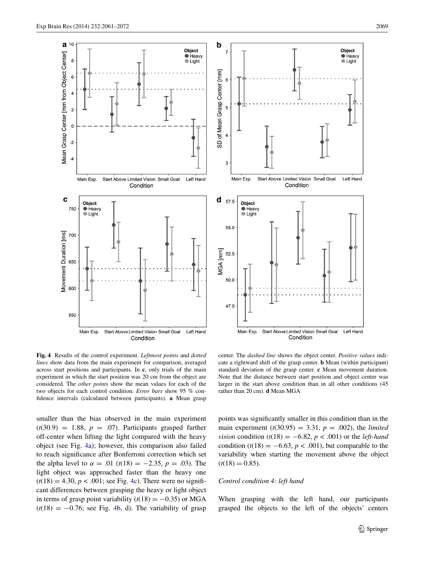

<span id="page-8-0"></span>**Fig. 4** Results of the control experiment. *Leftmost points* and *dotted lines* show data from the main experiment for comparison, averaged across start positions and participants. In **c**, only trials of the main experiment in which the start position was 20 cm from the object are considered. The *other points* show the mean values for each of the two objects for each control condition. *Error bars* show 95 % confidence intervals (calculated between participants). **a** Mean grasp

center. The *dashed line* shows the object center. *Positive values* indicate a rightward shift of the grasp center. **b** Mean (within participant) standard deviation of the grasp center. **c** Mean movement duration. Note that the distance between start position and object center was larger in the start above condition than in all other conditions (45 rather than 20 cm). **d** Mean MGA

smaller than the bias observed in the main experiment  $(t(30.9) = 1.88, p = .07)$ . Participants grasped further off-center when lifting the light compared with the heavy object (see Fig. [4a](#page-8-0)); however, this comparison also failed to reach significance after Bonferroni correction which set the alpha level to  $\alpha = .01$  ( $t(18) = -2.35$ ,  $p = .03$ ). The light object was approached faster than the heavy one  $(t(18) = 4.30, p < .001$ ; see Fig. [4c](#page-8-0)). There were no significant differences between grasping the heavy or light object in terms of grasp point variability  $(t(18) = -0.35)$  or MGA  $(t(18) = -0.76$ ; see Fig. [4b](#page-8-0), d). The variability of grasp points was significantly smaller in this condition than in the main experiment  $(t(30.95) = 3.31, p = .002)$ , the *limited vision* condition ( $t(18) = -6.82$ ,  $p < .001$ ) or the *left-hand* condition  $(t(18) = -6.63, p < .001)$ , but comparable to the variability when starting the movement above the object  $(t(18) = 0.85)$ .

# *Control condition 4: left hand*

When grasping with the left hand, our participants grasped the objects to the left of the objects' centers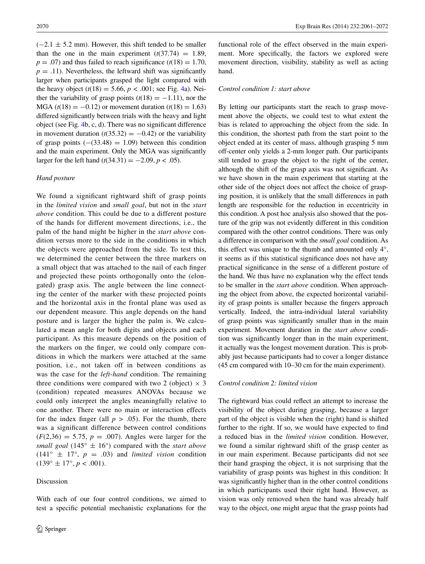$(-2.1 \pm 5.2 \text{ mm})$ . However, this shift tended to be smaller than the one in the main experiment  $(t(37.74) = 1.89)$ ,  $p = .07$ ) and thus failed to reach significance ( $t(18) = 1.70$ ,  $p = .11$ ). Nevertheless, the leftward shift was significantly larger when participants grasped the light compared with the heavy object  $(t(18) = 5.66, p < .001$ ; see Fig. [4](#page-8-0)a). Neither the variability of grasp points  $(t(18) = -1.11)$ , nor the MGA  $(t(18) = -0.12)$  or movement duration  $(t(18) = 1.63)$ differed significantly between trials with the heavy and light object (see Fig. [4b](#page-8-0), c, d). There was no significant difference in movement duration  $(t(35.32) = -0.42)$  or the variability of grasp points  $(-(33.48) = 1.09)$  between this condition and the main experiment. Only the MGA was significantly larger for the left hand  $(t(34.31) = -2.09, p < .05)$ .

# *Hand posture*

We found a significant rightward shift of grasp points in the *limited vision* and *small goal*, but not in the *start above* condition. This could be due to a different posture of the hands for different movement directions, i.e., the palm of the hand might be higher in the *start above* condition versus more to the side in the conditions in which the objects were approached from the side. To test this, we determined the center between the three markers on a small object that was attached to the nail of each finger and projected these points orthogonally onto the (elongated) grasp axis. The angle between the line connecting the center of the marker with these projected points and the horizontal axis in the frontal plane was used as our dependent measure. This angle depends on the hand posture and is larger the higher the palm is. We calculated a mean angle for both digits and objects and each participant. As this measure depends on the position of the markers on the finger, we could only compare conditions in which the markers were attached at the same position, i.e., not taken off in between conditions as was the case for the *left-hand* condition. The remaining three conditions were compared with two 2 (object)  $\times$  3 (condition) repeated measures ANOVAs because we could only interpret the angles meaningfully relative to one another. There were no main or interaction effects for the index finger (all  $p > .05$ ). For the thumb, there was a significant difference between control conditions  $(F(2,36) = 5.75, p = .007)$ . Angles were larger for the *small goal* (145 $\degree$   $\pm$  16 $\degree$ ) compared with the *start above*  $(141^{\circ} \pm 17^{\circ}, p = .03)$  and *limited vision* condition  $(139^\circ \pm 17^\circ, p < .001)$ .

# Discussion

With each of our four control conditions, we aimed to test a specific potential mechanistic explanations for the functional role of the effect observed in the main experiment. More specifically, the factors we explored were movement direction, visibility, stability as well as acting hand.

#### *Control condition 1: start above*

By letting our participants start the reach to grasp movement above the objects, we could test to what extent the bias is related to approaching the object from the side. In this condition, the shortest path from the start point to the object ended at its center of mass, although grasping 5 mm off-center only yields a 2-mm longer path. Our participants still tended to grasp the object to the right of the center, although the shift of the grasp axis was not significant. As we have shown in the main experiment that starting at the other side of the object does not affect the choice of grasping position, it is unlikely that the small differences in path length are responsible for the reduction in eccentricity in this condition. A post hoc analysis also showed that the posture of the grip was not evidently different in this condition compared with the other control conditions. There was only a difference in comparison with the *small goal* condition. As this effect was unique to the thumb and amounted only 4°, it seems as if this statistical significance does not have any practical significance in the sense of a different posture of the hand. We thus have no explanation why the effect tends to be smaller in the *start above* condition. When approaching the object from above, the expected horizontal variability of grasp points is smaller because the fingers approach vertically. Indeed, the intra-individual lateral variability of grasp points was significantly smaller than in the main experiment. Movement duration in the *start above* condition was significantly longer than in the main experiment, it actually was the longest movement duration. This is probably just because participants had to cover a longer distance (45 cm compared with 10–30 cm for the main experiment).

#### *Control condition 2: limited vision*

The rightward bias could reflect an attempt to increase the visibility of the object during grasping, because a larger part of the object is visible when the (right) hand is shifted further to the right. If so, we would have expected to find a reduced bias in the *limited vision* condition. However, we found a similar rightward shift of the grasp center as in our main experiment. Because participants did not see their hand grasping the object, it is not surprising that the variability of grasp points was highest in this condition: It was significantly higher than in the other control conditions in which participants used their right hand. However, as vision was only removed when the hand was already half way to the object, one might argue that the grasp points had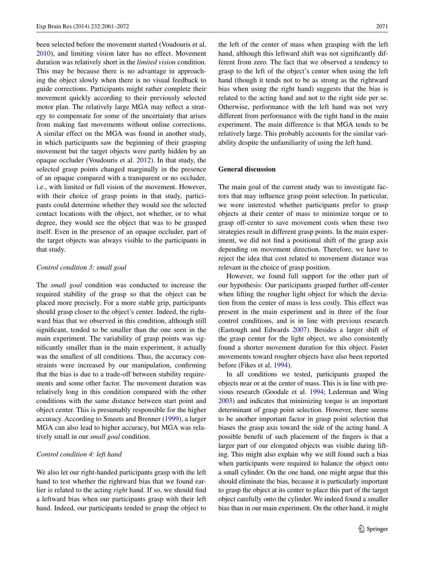been selected before the movement started (Voudouris et al. [2010](#page-11-11)), and limiting vision later has no effect. Movement duration was relatively short in the *limited vision* condition. This may be because there is no advantage in approaching the object slowly when there is no visual feedback to guide corrections. Participants might rather complete their movement quickly according to their previously selected motor plan. The relatively large MGA may reflect a strategy to compensate for some of the uncertainty that arises from making fast movements without online corrections. A similar effect on the MGA was found in another study, in which participants saw the beginning of their grasping movement but the target objects were partly hidden by an opaque occluder (Voudouris et al. [2012](#page-11-30)). In that study, the selected grasp points changed marginally in the presence of an opaque compared with a transparent or no occluder, i.e., with limited or full vision of the movement. However, with their choice of grasp points in that study, participants could determine whether they would see the selected contact locations with the object, not whether, or to what degree, they would see the object that was to be grasped itself. Even in the presence of an opaque occluder, part of the target objects was always visible to the participants in that study.

## *Control condition 3: small goal*

The *small goal* condition was conducted to increase the required stability of the grasp so that the object can be placed more precisely. For a more stable grip, participants should grasp closer to the object's center. Indeed, the rightward bias that we observed in this condition, although still significant, tended to be smaller than the one seen in the main experiment. The variability of grasp points was significantly smaller than in the main experiment, it actually was the smallest of all conditions. Thus, the accuracy constraints were increased by our manipulation, confirming that the bias is due to a trade-off between stability requirements and some other factor. The movement duration was relatively long in this condition compared with the other conditions with the same distance between start point and object center. This is presumably responsible for the higher accuracy. According to Smeets and Brenner ([1999\)](#page-11-28), a larger MGA can also lead to higher accuracy, but MGA was relatively small in our *small goal* condition.

## *Control condition 4: left hand*

We also let our right-handed participants grasp with the left hand to test whether the rightward bias that we found earlier is related to the acting *right* hand. If so, we should find a leftward bias when our participants grasp with their left hand. Indeed, our participants tended to grasp the object to the left of the center of mass when grasping with the left hand, although this leftward shift was not significantly different from zero. The fact that we observed a tendency to grasp to the left of the object's center when using the left hand (though it tends not to be as strong as the rightward bias when using the right hand) suggests that the bias is related to the acting hand and not to the right side per se. Otherwise, performance with the left hand was not very different from performance with the right hand in the main experiment. The main difference is that MGA tends to be relatively large. This probably accounts for the similar variability despite the unfamiliarity of using the left hand.

## **General discussion**

The main goal of the current study was to investigate factors that may influence grasp point selection. In particular, we were interested whether participants prefer to grasp objects at their center of mass to minimize torque or to grasp off-center to save movement costs when these two strategies result in different grasp points. In the main experiment, we did not find a positional shift of the grasp axis depending on movement direction. Therefore, we have to reject the idea that cost related to movement distance was relevant in the choice of grasp position.

However, we found full support for the other part of our hypothesis: Our participants grasped further off-center when lifting the rougher light object for which the deviation from the center of mass is less costly. This effect was present in the main experiment and in three of the four control conditions, and is in line with previous research (Eastough and Edwards [2007](#page-11-6)). Besides a larger shift of the grasp center for the light object, we also consistently found a shorter movement duration for this object. Faster movements toward rougher objects have also been reported before (Fikes et al. [1994\)](#page-11-8).

In all conditions we tested, participants grasped the objects near or at the center of mass. This is in line with previous research (Goodale et al. [1994;](#page-11-29) Lederman and Wing [2003\)](#page-11-2) and indicates that minimizing torque is an important determinant of grasp point selection. However, there seems to be another important factor in grasp point selection that biases the grasp axis toward the side of the acting hand. A possible benefit of such placement of the fingers is that a larger part of our elongated objects was visible during lifting. This might also explain why we still found such a bias when participants were required to balance the object onto a small cylinder. On the one hand, one might argue that this should eliminate the bias, because it is particularly important to grasp the object at its center to place this part of the target object carefully onto the cylinder. We indeed found a smaller bias than in our main experiment. On the other hand, it might